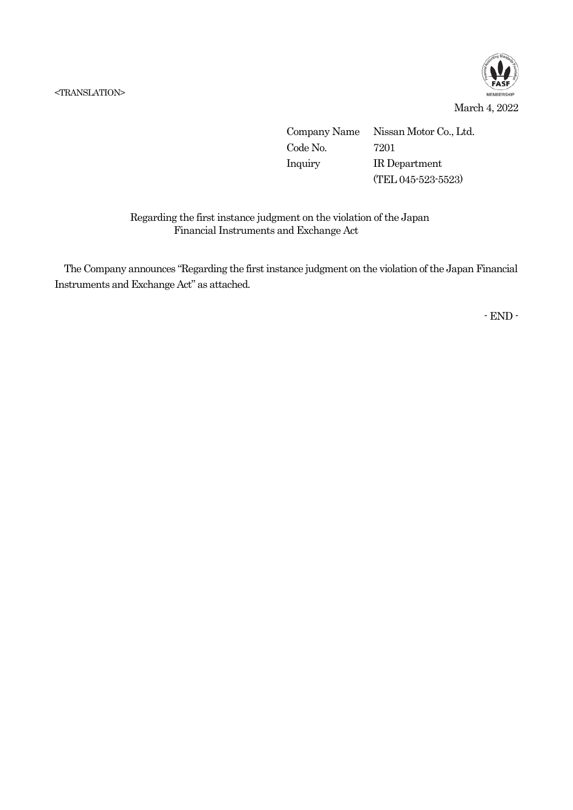<TRANSLATION>



Company Name Nissan Motor Co., Ltd. Code No. 7201 Inquiry IR Department (TEL 045-523-5523)

## Regarding the first instance judgment on the violation of the Japan Financial Instruments and Exchange Act

The Company announces "Regarding the first instance judgment on the violation of the Japan Financial Instruments and Exchange Act" as attached.

- END -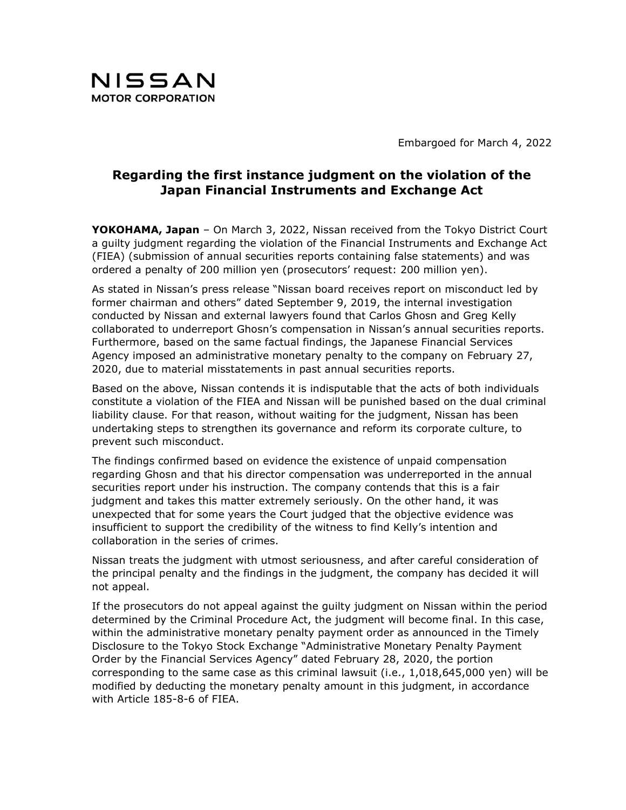

Embargoed for March 4, 2022

## Regarding the first instance judgment on the violation of the Japan Financial Instruments and Exchange Act

YOKOHAMA, Japan - On March 3, 2022, Nissan received from the Tokyo District Court a guilty judgment regarding the violation of the Financial Instruments and Exchange Act (FIEA) (submission of annual securities reports containing false statements) and was ordered a penalty of 200 million yen (prosecutors' request: 200 million yen).

As stated in Nissan's press release "Nissan board receives report on misconduct led by former chairman and others" dated September 9, 2019, the internal investigation conducted by Nissan and external lawyers found that Carlos Ghosn and Greg Kelly collaborated to underreport Ghosn's compensation in Nissan's annual securities reports. Furthermore, based on the same factual findings, the Japanese Financial Services Agency imposed an administrative monetary penalty to the company on February 27, 2020, due to material misstatements in past annual securities reports.

Based on the above, Nissan contends it is indisputable that the acts of both individuals constitute a violation of the FIEA and Nissan will be punished based on the dual criminal liability clause. For that reason, without waiting for the judgment, Nissan has been undertaking steps to strengthen its governance and reform its corporate culture, to prevent such misconduct.

The findings confirmed based on evidence the existence of unpaid compensation regarding Ghosn and that his director compensation was underreported in the annual securities report under his instruction. The company contends that this is a fair judgment and takes this matter extremely seriously. On the other hand, it was unexpected that for some years the Court judged that the objective evidence was insufficient to support the credibility of the witness to find Kelly's intention and collaboration in the series of crimes.

Nissan treats the judgment with utmost seriousness, and after careful consideration of the principal penalty and the findings in the judgment, the company has decided it will not appeal.

If the prosecutors do not appeal against the guilty judgment on Nissan within the period determined by the Criminal Procedure Act, the judgment will become final. In this case, within the administrative monetary penalty payment order as announced in the Timely Disclosure to the Tokyo Stock Exchange "Administrative Monetary Penalty Payment Order by the Financial Services Agency" dated February 28, 2020, the portion corresponding to the same case as this criminal lawsuit (i.e., 1,018,645,000 yen) will be modified by deducting the monetary penalty amount in this judgment, in accordance with Article 185-8-6 of FIEA.